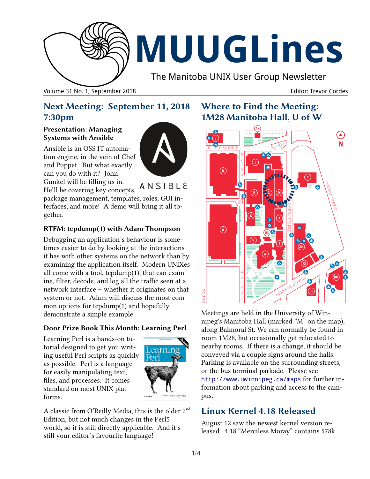

# **MUUGLines**

The Manitoba UNIX User Group Newsletter

Volume 31 No. 1, September 2018 Editor: Trevor Cordes

## **Next Meeting: September 11, 2018 7:30pm**

#### **Presentation: Managing Systems with Ansible**

Ansible is an OSS IT automation engine, in the vein of Chef and Puppet. But what exactly can you do with it? John Gunkel will be filling us in.



He'll be covering key concepts,  $\overline{A}$  N S I B L E

package management, templates, roles, GUI interfaces, and more! A demo will bring it all together.

#### **RTFM: tcpdump(1) with Adam Thompson**

Debugging an application's behaviour is sometimes easier to do by looking at the interactions it has with other systems on the network than by examining the application itself. Modern UNIXes all come with a tool, tcpdump(1), that can examine, filter, decode, and log all the traffic seen at a network interface – whether it originates on that system or not. Adam will discuss the most common options for tcpdump(1) and hopefully demonstrate a simple example.

#### **Door Prize Book This Month: Learning Perl**

Learning Perl is a hands-on tutorial designed to get you writing useful Perl scripts as quickly as possible. Perl is a language for easily manipulating text, files, and processes. It comes standard on most UNIX platforms.



A classic from O'Reilly Media, this is the older 2nd Edition, but not much changes in the Perl5 world, so it is still directly applicable. And it's still your editor's favourite language!

## **Where to Find the Meeting: 1M28 Manitoba Hall, U of W**



Meetings are held in the University of Winnipeg's Manitoba Hall (marked "M" on the map), along Balmoral St. We can normally be found in room 1M28, but occasionally get relocated to nearby rooms. If there is a change, it should be conveyed via a couple signs around the halls. Parking is available on the surrounding streets, or the bus terminal parkade. Please see <http://www.uwinnipeg.ca/maps> for further information about parking and access to the campus.

## **Linux Kernel 4.18 Released**

August 12 saw the newest kernel version released. 4.18 "Merciless Moray" contains 578k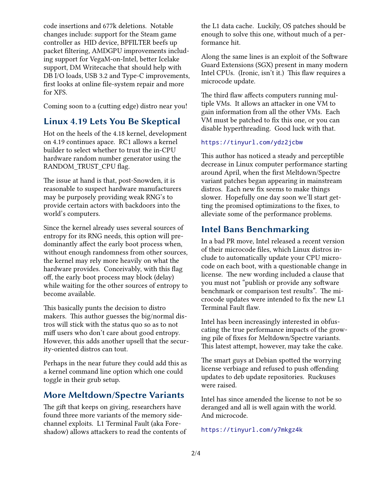code insertions and 677k deletions. Notable changes include: support for the Steam game controller as HID device, BPFILTER beefs up packet filtering, AMDGPU improvements including support for VegaM-on-Intel, better Icelake support, DM Writecache that should help with DB I/O loads, USB 3.2 and Type-C improvements, first looks at online file-system repair and more for XFS.

Coming soon to a (cutting edge) distro near you!

#### **Linux 4.19 Lets You Be Skeptical**

Hot on the heels of the 4.18 kernel, development on 4.19 continues apace. RC1 allows a kernel builder to select whether to trust the in-CPU hardware random number generator using the RANDOM\_TRUST\_CPU flag.

The issue at hand is that, post-Snowden, it is reasonable to suspect hardware manufacturers may be purposely providing weak RNG's to provide certain actors with backdoors into the world's computers.

Since the kernel already uses several sources of entropy for its RNG needs, this option will predominantly affect the early boot process when, without enough randomness from other sources, the kernel may rely more heavily on what the hardware provides. Conceivably, with this flag off, the early boot process may block (delay) while waiting for the other sources of entropy to become available.

This basically punts the decision to distro makers. This author guesses the big/normal distros will stick with the status quo so as to not miff users who don't care about good entropy. However, this adds another upsell that the security-oriented distros can tout.

Perhaps in the near future they could add this as a kernel command line option which one could toggle in their grub setup.

#### **More Meltdown/Spectre Variants**

The gift that keeps on giving, researchers have found three more variants of the memory sidechannel exploits. L1 Terminal Fault (aka Foreshadow) allows attackers to read the contents of the L1 data cache. Luckily, OS patches should be enough to solve this one, without much of a performance hit.

Along the same lines is an exploit of the Software Guard Extensions (SGX) present in many modern Intel CPUs. (Ironic, isn't it.) This flaw requires a microcode update.

The third flaw affects computers running multiple VMs. It allows an attacker in one VM to gain information from all the other VMs. Each VM must be patched to fix this one, or you can disable hyperthreading. Good luck with that.

#### <https://tinyurl.com/ydz2jcbw>

This author has noticed a steady and perceptible decrease in Linux computer performance starting around April, when the first Meltdown/Spectre variant patches began appearing in mainstream distros. Each new fix seems to make things slower. Hopefully one day soon we'll start getting the promised optimizations to the fixes, to alleviate some of the performance problems.

#### **Intel Bans Benchmarking**

In a bad PR move, Intel released a recent version of their microcode files, which Linux distros include to automatically update your CPU microcode on each boot, with a questionable change in license. The new wording included a clause that you must not "publish or provide any software benchmark or comparison test results". The microcode updates were intended to fix the new L1 Terminal Fault flaw.

Intel has been increasingly interested in obfuscating the true performance impacts of the growing pile of fixes for Meltdown/Spectre variants. This latest attempt, however, may take the cake.

The smart guys at Debian spotted the worrying license verbiage and refused to push offending updates to deb update repositories. Ruckuses were raised.

Intel has since amended the license to not be so deranged and all is well again with the world. And microcode.

#### <https://tinyurl.com/y7mkgz4k>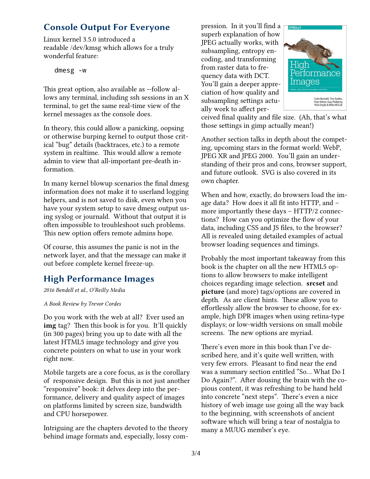## **Console Output For Everyone**

Linux kernel 3.5.0 introduced a readable /dev/kmsg which allows for a truly wonderful feature:

dmesg -w

This great option, also available as --follow allows any terminal, including ssh sessions in an X terminal, to get the same real-time view of the kernel messages as the console does.

In theory, this could allow a panicking, oopsing or otherwise burping kernel to output those critical "bug" details (backtraces, etc.) to a remote system in realtime. This would allow a remote admin to view that all-important pre-death information.

In many kernel blowup scenarios the final dmesg information does not make it to userland logging helpers, and is not saved to disk, even when you have your system setup to save dmesg output using syslog or journald. Without that output it is often impossible to troubleshoot such problems. This new option offers remote admins hope.

Of course, this assumes the panic is not in the network layer, and that the message can make it out before complete kernel freeze-up.

## **High Performance Images**

*2016 Bendell et al., O'Reilly Media*

*A Book Review by Trevor Cordes*

Do you work with the web at all? Ever used an **img** tag? Then this book is for you. It'll quickly (in 300 pages) bring you up to date with all the latest HTML5 image technology and give you concrete pointers on what to use in your work right now.

Mobile targets are a core focus, as is the corollary of responsive design. But this is not just another "responsive" book: it delves deep into the performance, delivery and quality aspect of images on platforms limited by screen size, bandwidth and CPU horsepower.

Intriguing are the chapters devoted to the theory behind image formats and, especially, lossy compression. In it you'll find a superb explanation of how JPEG actually works, with subsampling, entropy encoding, and transforming from raster data to frequency data with DCT. You'll gain a deeper appreciation of how quality and subsampling settings actually work to affect per-



ceived final quality and file size. (Ah, that's what those settings in gimp actually mean!)

Another section talks in depth about the competing, upcoming stars in the format world: WebP, JPEG XR and JPEG 2000. You'll gain an understanding of their pros and cons, browser support, and future outlook. SVG is also covered in its own chapter.

When and how, exactly, do browsers load the image data? How does it all fit into HTTP, and – more importantly these days – HTTP/2 connections? How can you optimize the flow of your data, including CSS and JS files, to the browser? All is revealed using detailed examples of actual browser loading sequences and timings.

Probably the most important takeaway from this book is the chapter on all the new HTML5 options to allow browsers to make intelligent choices regarding image selection. **srcset** and **picture** (and more) tags/options are covered in depth. As are client hints. These allow you to effortlessly allow the browser to choose, for example, high DPR images when using retina-type displays; or low-width versions on small mobile screens. The new options are myriad.

There's even more in this book than I've described here, and it's quite well written, with very few errors. Pleasant to find near the end was a summary section entitled "So… What Do I Do Again?". After dousing the brain with the copious content, it was refreshing to be hand held into concrete "next steps". There's even a nice history of web image use going all the way back to the beginning, with screenshots of ancient software which will bring a tear of nostalgia to many a MUUG member's eye.